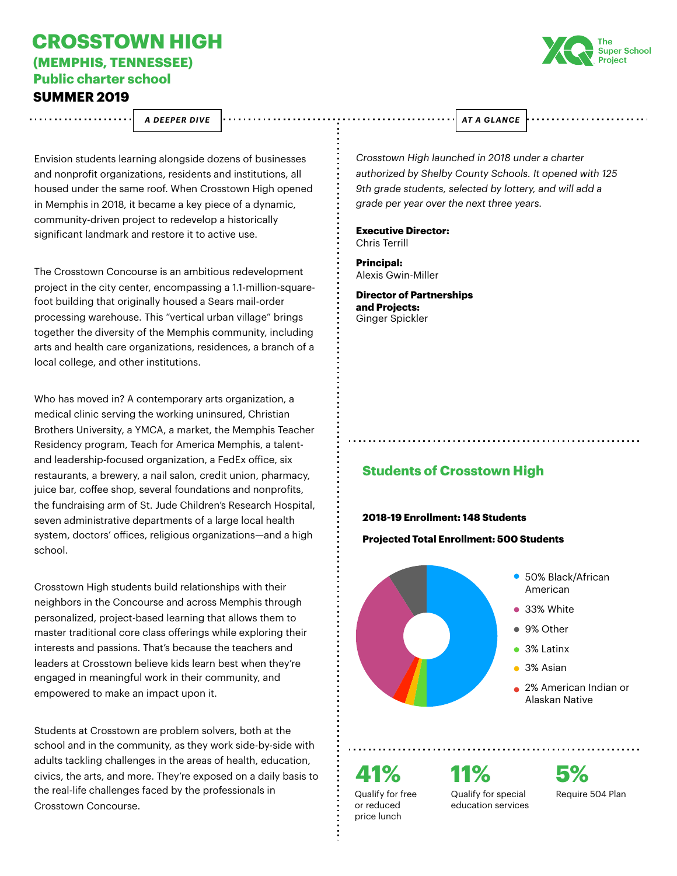## **CROSSTOWN HIGH (MEMPHIS, TENNESSEE)**

**Public charter school** 

## **SUMMER 2019** . . . . . . . . . . . . . . . . . . .



*A DEEPER DIVE AT A GLANCE*

*Crosstown High launched in 2018 under a charter authorized by Shelby County Schools. It opened with 125 9th grade students, selected by lottery, and will add a grade per year over the next three years.* 

**Executive Director:**  Chris Terrill

**Principal:** Alexis Gwin-Miller

**Director of Partnerships and Projects:** Ginger Spickler

**Students of Crosstown High**

## **2018-19 Enrollment: 148 Students**

**Projected Total Enrollment: 500 Students**



**41%** Qualify for free or reduced price lunch

Qualify for special education services

**11%**

**5%** Require 504 Plan

Envision students learning alongside dozens of businesses and nonprofit organizations, residents and institutions, all housed under the same roof. When Crosstown High opened in Memphis in 2018, it became a key piece of a dynamic, community-driven project to redevelop a historically significant landmark and restore it to active use.

The Crosstown Concourse is an ambitious redevelopment project in the city center, encompassing a 1.1-million-squarefoot building that originally housed a Sears mail-order processing warehouse. This "vertical urban village" brings together the diversity of the Memphis community, including arts and health care organizations, residences, a branch of a local college, and other institutions.

Who has moved in? A contemporary arts organization, a medical clinic serving the working uninsured, Christian Brothers University, a YMCA, a market, the Memphis Teacher Residency program, Teach for America Memphis, a talentand leadership-focused organization, a FedEx ofice, six restaurants, a brewery, a nail salon, credit union, pharmacy, juice bar, coffee shop, several foundations and nonprofits, the fundraising arm of St. Jude Children's Research Hospital, seven administrative departments of a large local health system, doctors' ofices, religious organizations—and a high school.

Crosstown High students build relationships with their neighbors in the Concourse and across Memphis through personalized, project-based learning that allows them to master traditional core class offerings while exploring their interests and passions. That's because the teachers and leaders at Crosstown believe kids learn best when they're engaged in meaningful work in their community, and empowered to make an impact upon it.

Students at Crosstown are problem solvers, both at the school and in the community, as they work side-by-side with adults tackling challenges in the areas of health, education, civics, the arts, and more. They're exposed on a daily basis to the real-life challenges faced by the professionals in Crosstown Concourse.